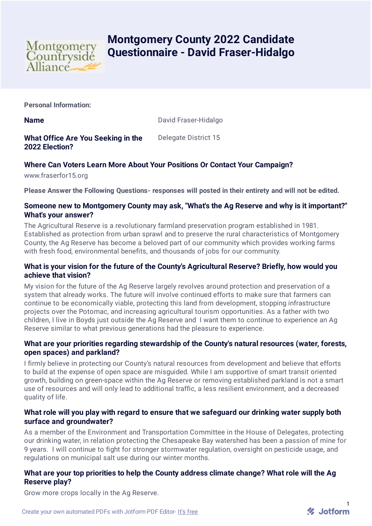

# **Montgomery County 2022 Candidate Questionnaire - David Fraser-Hidalgo**

**Personal Information:**

**Name** David Fraser-Hidalgo

**What Office Are You Seeking in the 2022 Election?** Delegate District 15

## **Where Can Voters Learn More About Your Positions Or Contact Your Campaign?**

www.fraserfor15.org

**Please Answer the Following Questions- responses will posted in their entirety and will not be edited.**

## **Someone new to Montgomery County may ask, "What's the Ag Reserve and why is it important?" What's your answer?**

The Agricultural Reserve is a revolutionary farmland preservation program established in 1981. Established as protection from urban sprawl and to preserve the rural characteristics of Montgomery County, the Ag Reserve has become a beloved part of our community which provides working farms with fresh food, environmental benefits, and thousands of jobs for our community.

## **What is your vision for the future of the County's Agricultural Reserve? Briefly, how would you achieve that vision?**

My vision for the future of the Ag Reserve largely revolves around protection and preservation of a system that already works. The future will involve continued efforts to make sure that farmers can continue to be economically viable, protecting this land from development, stopping infrastructure projects over the Potomac, and increasing agricultural tourism opportunities. As a father with two children, I live in Boyds just outside the Ag Reserve and I want them to continue to experience an Ag Reserve similar to what previous generations had the pleasure to experience.

## **What are your priorities regarding stewardship of the County's natural resources (water, forests, open spaces) and parkland?**

I firmly believe in protecting our County's natural resources from development and believe that efforts to build at the expense of open space are misguided. While I am supportive of smart transit oriented growth, building on green-space within the Ag Reserve or removing established parkland is not a smart use of resources and will only lead to additional traffic, a less resilient environment, and a decreased quality of life.

## **What role will you play with regard to ensure that we safeguard our drinking water supply both surface and groundwater?**

As a member of the Environment and Transportation Committee in the House of Delegates, protecting our drinking water, in relation protecting the Chesapeake Bay watershed has been a passion of mine for 9 years. I will continue to fight for stronger stormwater regulation, oversight on pesticide usage, and regulations on municipal salt use during our winter months.

## **What are your top priorities to help the County address climate change? What role will the Ag Reserve play?**

Grow more crops locally in the Ag Reserve.